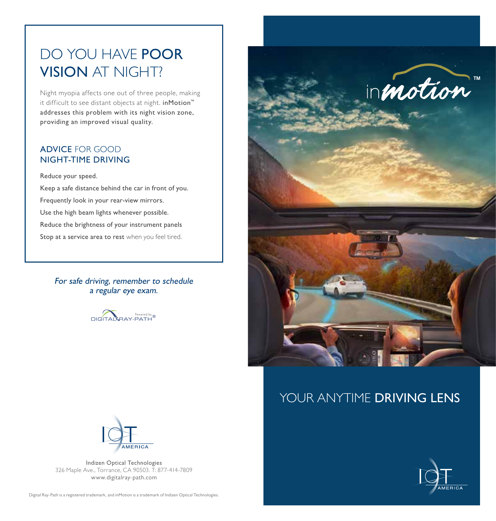## DO YOU HAVE POOR VISION AT NIGHT?

Night myopia affects one out of three people, making it difficult to see distant objects at night. inMotion™ addresses this problem with its night vision zone, providing an improved visual quality.

## ADVICE FOR GOOD NIGHT-TIME DRIVING

Reduce your speed.

Keep a safe distance behind the car in front of you. Frequently look in your rear-view mirrors. Use the high beam lights whenever possible. Reduce the brightness of your instrument panels Stop at a service area to rest when you feel tired.

For safe driving, remember to schedule a regular eye exam.





## YOUR ANYTIME DRIVING LENS



Indizen Optical Technologies 326 Maple Ave., Torrance, CA 90503. T: 877-414-7809 www.digitalray-path.com

Digital Ray-Path is a registered trademark, and inMotion is a trademark of Indizen Optical Technologies.